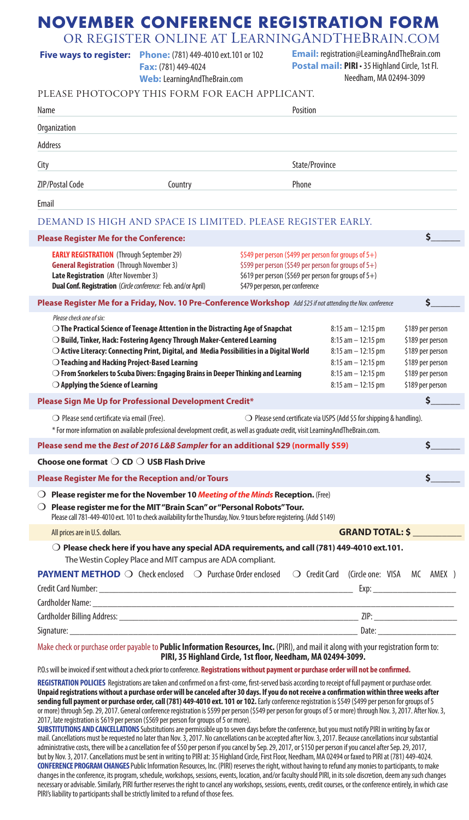# **NOVEMBER CONFERENCE REGISTRATION FORM**

OR REGISTER ONLINE AT LEARNINGANDTHEBRAIN.COM

|  | <b>Five ways to register:</b> Phone: (781) 449-4010 ext.101 or 102 | <b>Email:</b> registration@LearningAndTheBrain.com |
|--|--------------------------------------------------------------------|----------------------------------------------------|
|--|--------------------------------------------------------------------|----------------------------------------------------|

**Fax:** (781) 449-4024 **Web:** LearningAndTheBrain.com **Postal mail: PIRI** • 35 Highland Circle, 1st Fl. Needham, MA 02494-3099

| PLEASE PHOTOCOPY THIS FORM FOR EACH APPLICANT.                                                                                                                                                                                                                                                                                                                                                                                                                                                                        |                                                                                                                                                                                                             |                                                                                                                                                    |                                                                                                                      |  |  |
|-----------------------------------------------------------------------------------------------------------------------------------------------------------------------------------------------------------------------------------------------------------------------------------------------------------------------------------------------------------------------------------------------------------------------------------------------------------------------------------------------------------------------|-------------------------------------------------------------------------------------------------------------------------------------------------------------------------------------------------------------|----------------------------------------------------------------------------------------------------------------------------------------------------|----------------------------------------------------------------------------------------------------------------------|--|--|
| Name                                                                                                                                                                                                                                                                                                                                                                                                                                                                                                                  |                                                                                                                                                                                                             |                                                                                                                                                    |                                                                                                                      |  |  |
| Organization                                                                                                                                                                                                                                                                                                                                                                                                                                                                                                          |                                                                                                                                                                                                             |                                                                                                                                                    |                                                                                                                      |  |  |
| Address                                                                                                                                                                                                                                                                                                                                                                                                                                                                                                               |                                                                                                                                                                                                             |                                                                                                                                                    |                                                                                                                      |  |  |
| City                                                                                                                                                                                                                                                                                                                                                                                                                                                                                                                  | State/Province                                                                                                                                                                                              |                                                                                                                                                    |                                                                                                                      |  |  |
| <b>ZIP/Postal Code</b><br>Country                                                                                                                                                                                                                                                                                                                                                                                                                                                                                     | Phone                                                                                                                                                                                                       |                                                                                                                                                    |                                                                                                                      |  |  |
| Email                                                                                                                                                                                                                                                                                                                                                                                                                                                                                                                 |                                                                                                                                                                                                             |                                                                                                                                                    |                                                                                                                      |  |  |
| DEMAND IS HIGH AND SPACE IS LIMITED. PLEASE REGISTER EARLY.                                                                                                                                                                                                                                                                                                                                                                                                                                                           |                                                                                                                                                                                                             |                                                                                                                                                    |                                                                                                                      |  |  |
| <b>Please Register Me for the Conference:</b>                                                                                                                                                                                                                                                                                                                                                                                                                                                                         |                                                                                                                                                                                                             |                                                                                                                                                    | \$                                                                                                                   |  |  |
| <b>EARLY REGISTRATION</b> (Through September 29)<br><b>General Registration</b> (Through November 3)<br><b>Late Registration</b> (After November 3)<br>Dual Conf. Registration (Circle conference: Feb. and/or April)                                                                                                                                                                                                                                                                                                 | \$549 per person (\$499 per person for groups of 5+)<br>\$599 per person (\$549 per person for groups of 5+)<br>\$619 per person (\$569 per person for groups of $5+$ )<br>\$479 per person, per conference |                                                                                                                                                    |                                                                                                                      |  |  |
| Please Register Me for a Friday, Nov. 10 Pre-Conference Workshop Add \$25 if not attending the Nov. conference                                                                                                                                                                                                                                                                                                                                                                                                        |                                                                                                                                                                                                             |                                                                                                                                                    | \$.                                                                                                                  |  |  |
| Please check one of six:<br>$\bigcirc$ The Practical Science of Teenage Attention in the Distracting Age of Snapchat<br>$\bigcirc$ Build, Tinker, Hack: Fostering Agency Through Maker-Centered Learning<br>$\bigcirc$ Active Literacy: Connecting Print, Digital, and Media Possibilities in a Digital World<br>$\bigcirc$ Teaching and Hacking Project-Based Learning<br>$\bigcirc$ From Snorkelers to Scuba Divers: Engaging Brains in Deeper Thinking and Learning<br>$\bigcirc$ Applying the Science of Learning |                                                                                                                                                                                                             | $8:15$ am $-12:15$ pm<br>$8:15$ am $-12:15$ pm<br>$8:15$ am $-12:15$ pm<br>$8:15$ am $-12:15$ pm<br>$8:15$ am $-12:15$ pm<br>$8:15$ am $-12:15$ pm | \$189 per person<br>\$189 per person<br>\$189 per person<br>\$189 per person<br>\$189 per person<br>\$189 per person |  |  |
| Please Sign Me Up for Professional Development Credit*                                                                                                                                                                                                                                                                                                                                                                                                                                                                |                                                                                                                                                                                                             |                                                                                                                                                    | \$                                                                                                                   |  |  |
| $\bigcirc$ Please send certificate via email (Free).<br>$\bigcirc$ Please send certificate via USPS (Add \$5 for shipping & handling).<br>* For more information on available professional development credit, as well as graduate credit, visit LearningAndTheBrain.com.                                                                                                                                                                                                                                             |                                                                                                                                                                                                             |                                                                                                                                                    |                                                                                                                      |  |  |
| Please send me the Best of 2016 L&B Sampler for an additional \$29 (normally \$59)                                                                                                                                                                                                                                                                                                                                                                                                                                    |                                                                                                                                                                                                             |                                                                                                                                                    | \$.                                                                                                                  |  |  |
| Choose one format $\bigcirc$ CD $\bigcirc$ USB Flash Drive                                                                                                                                                                                                                                                                                                                                                                                                                                                            |                                                                                                                                                                                                             |                                                                                                                                                    |                                                                                                                      |  |  |
| Please Register Me for the Reception and/or Tours                                                                                                                                                                                                                                                                                                                                                                                                                                                                     |                                                                                                                                                                                                             |                                                                                                                                                    | \$                                                                                                                   |  |  |
| <b>O</b> Please register me for the November 10 Meeting of the Minds Reception. (Free)<br>$\bigcirc$ Please register me for the MIT "Brain Scan" or "Personal Robots" Tour.<br>Please call 781-449-4010 ext. 101 to check availability for the Thursday, Nov. 9 tours before registering. (Add \$149)                                                                                                                                                                                                                 |                                                                                                                                                                                                             |                                                                                                                                                    |                                                                                                                      |  |  |
| All prices are in U.S. dollars.                                                                                                                                                                                                                                                                                                                                                                                                                                                                                       |                                                                                                                                                                                                             | <b>GRAND TOTAL: \$</b>                                                                                                                             |                                                                                                                      |  |  |
| $\bigcirc$ Please check here if you have any special ADA requirements, and call (781) 449-4010 ext.101.<br>The Westin Copley Place and MIT campus are ADA compliant.                                                                                                                                                                                                                                                                                                                                                  |                                                                                                                                                                                                             |                                                                                                                                                    |                                                                                                                      |  |  |
| <b>PAYMENT METHOD</b> O Check enclosed O Purchase Order enclosed O Credit Card (Circle one: VISA MC AMEX)<br>Cardholder Name: The Card Contract of the Card Contract of the Card Contract of the Card Contract of the Card                                                                                                                                                                                                                                                                                            |                                                                                                                                                                                                             |                                                                                                                                                    |                                                                                                                      |  |  |
|                                                                                                                                                                                                                                                                                                                                                                                                                                                                                                                       |                                                                                                                                                                                                             |                                                                                                                                                    |                                                                                                                      |  |  |
|                                                                                                                                                                                                                                                                                                                                                                                                                                                                                                                       |                                                                                                                                                                                                             |                                                                                                                                                    |                                                                                                                      |  |  |
| Make check or purchase order payable to Public Information Resources, Inc. (PIRI), and mail it along with your registration form to:<br>PIRI, 35 Highland Circle, 1st floor, Needham, MA 02494-3099.                                                                                                                                                                                                                                                                                                                  |                                                                                                                                                                                                             |                                                                                                                                                    |                                                                                                                      |  |  |

P.O.s will be invoiced if sent without a check prior to conference. **Registrations without payment or purchase order will not be confirmed.**

**REGISTRATION POLICIES** Registrations are taken and confirmed on a first-come, first-served basis according to receipt of full payment or purchase order. **Unpaid registrations without a purchase order will be canceled after 30 days. If you do not receive a confirmation within three weeks after**  sending full payment or purchase order, call (781) 449-4010 ext. 101 or 102. Early conference registration is \$549 (\$499 per person for groups of 5 or more) through Sep. 29, 2017. General conference registration is \$599 per person (\$549 per person for groups of 5 or more) through Nov. 3, 2017. After Nov. 3, 2017, late registration is \$619 per person (\$569 per person for groups of 5 or more).

**SUBSTITUTIONS AND CANCELLATIONS**Substitutions are permissible up to seven days before the conference, but you must notify PIRI in writing by fax or mail. Cancellations must be requested no later than Nov. 3, 2017. No cancellations can be accepted after Nov. 3, 2017. Because cancellations incur substantial administrative costs, there will be a cancellation fee of \$50 per person if you cancel by Sep. 29, 2017, or \$150 per person if you cancel after Sep. 29, 2017, but by Nov. 3, 2017. Cancellations must be sent in writing to PIRI at: 35 Highland Circle, First Floor, Needham, MA 02494 or faxed to PIRI at (781) 449-4024. **CONFERENCE PROGRAM CHANGES** Public Information Resources, Inc. (PIRI) reserves the right, without having to refund any monies to participants, to make changes in the conference, its program, schedule, workshops, sessions, events, location, and/or faculty should PIRI, in its sole discretion, deem any such changes necessary or advisable. Similarly, PIRI further reserves the right to cancel any workshops, sessions, events, credit courses, or the conference entirely, in which case PIRI's liability to participants shall be strictly limited to a refund of those fees.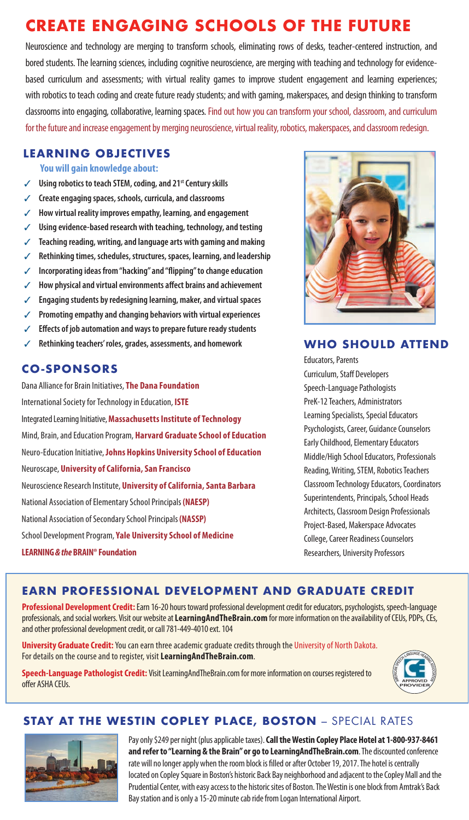# **CREATE ENGAGING SCHOOLS OF THE FUTURE**

Neuroscience and technology are merging to transform schools, eliminating rows of desks, teacher-centered instruction, and bored students. The learning sciences, including cognitive neuroscience, are merging with teaching and technology for evidencebased curriculum and assessments; with virtual reality games to improve student engagement and learning experiences; with robotics to teach coding and create future ready students; and with gaming, makerspaces, and design thinking to transform classrooms into engaging, collaborative, learning spaces. Find out how you can transform your school, classroom, and curriculum for the future and increase engagement by merging neuroscience, virtual reality, robotics, makerspaces, and classroom redesign.

#### **LEARNING OBJECTIVES**

 **You will gain knowledge about:**

- Using robotics to teach STEM, coding, and 21<sup>st</sup> Century skills
- ✓ **Create engaging spaces, schools, curricula, and classrooms**
- ✓ **How virtual reality improves empathy, learning, and engagement**
- Using evidence-based research with teaching, technology, and testing
- ✓ **Teaching reading, writing, and language arts with gaming and making**
- ✓ **Rethinking times, schedules, structures, spaces, learning, and leadership**
- ✓ **Incorporating ideas from "hacking" and "flipping" to change education**
- ✓ **How physical and virtual environments affect brains and achievement**
- ✓ **Engaging students by redesigning learning, maker, and virtual spaces**
- ✓ **Promoting empathy and changing behaviors with virtual experiences**
- ✓ **Effects of job automation and ways to prepare future ready students**
- ✓ **Rethinking teachers' roles, grades, assessments, and homework**

#### **CO-SPONSORS**

Dana Alliance for Brain Initiatives, **The Dana Foundation** International Society for Technology in Education, **ISTE** Integrated Learning Initiative, **Massachusetts Institute of Technology** Mind, Brain, and Education Program, **Harvard Graduate School of Education** Neuro-Education Initiative, **Johns Hopkins University School of Education** Neuroscape, **University of California, San Francisco** Neuroscience Research Institute, **University of California, Santa Barbara** National Association of Elementary School Principals **(NAESP)** National Association of Secondary School Principals **(NASSP)** School Development Program, **Yale University School of Medicine LEARNING** *& the* **BRAIN® Foundation**



#### **WHO SHOULD ATTEND**

Educators, Parents Curriculum, Staff Developers Speech-Language Pathologists PreK-12 Teachers, Administrators Learning Specialists, Special Educators Psychologists, Career, Guidance Counselors Early Childhood, Elementary Educators Middle/High School Educators, Professionals Reading, Writing, STEM, Robotics Teachers Classroom Technology Educators, Coordinators Superintendents, Principals, School Heads Architects, Classroom Design Professionals Project-Based, Makerspace Advocates College, Career Readiness Counselors Researchers, University Professors

# **EARN PROFESSIONAL DEVELOPMENT AND GRADUATE CREDIT**

**Professional Development Credit:** Earn 16-20 hours toward professional development credit for educators, psychologists, speech-language professionals, and social workers. Visit our website at **LearningAndTheBrain.com** for more information on the availability of CEUs, PDPs, CEs, and other professional development credit, or call 781-449-4010 ext. 104

**University Graduate Credit:**You can earn three academic graduate credits through the University of North Dakota. For details on the course and to register, visit **LearningAndTheBrain.com**.

**Speech-Language Pathologist Credit:** Visit LearningAndTheBrain.com for more information on courses registered to offer ASHA CEUs.



# **STAY AT THE WESTIN COPLEY PLACE, BOSTON** – SPECIAL RATES



Pay only \$249 per night (plus applicable taxes). **Call the Westin Copley Place Hotel at 1-800-937-8461 and refer to "Learning & the Brain" or go to LearningAndTheBrain.com**. The discounted conference rate will no longer apply when the room block is filled or after October 19, 2017. The hotel is centrally located on Copley Square in Boston's historic Back Bay neighborhood and adjacent to the Copley Mall and the Prudential Center, with easy access to the historic sites of Boston. The Westin is one block from Amtrak's Back Bay station and is only a 15-20 minute cab ride from Logan International Airport.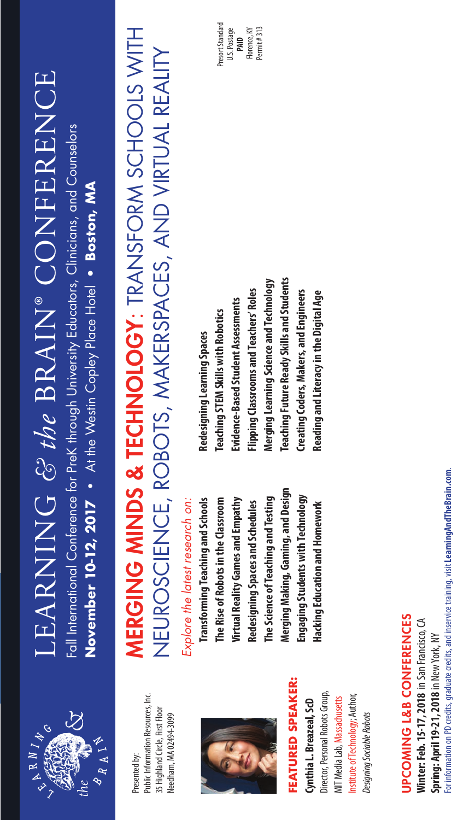

Public Information Resources, Inc. Public Information Resources, Inc. 35 Highland Circle, First Floor 35 Highland Circle, First Floor Needham, MA 02494-3099 Needham, MA 02494-3099 Presented by:



# FEATURED SPEAKER: **FEATURED SPEAKER:**

Director, Personal Robots Group, Director, Personal Robots Group, Institute of Technology; Author, Institute of Technology; Author, MIT Media Lab, Massachusetts MIT Media Lab, Massachusetts Cynthia L. Breazeal, ScD **Cynthia L. Breazeal, ScD** Designing Sociable Robots *Designing Sociable Robots*

# LEARNING & the BRAIN® CONFERENCE LEARNING *& the* BRAIN® CONFERENCE Fall International Conference for PreK through University Educators, Clinicians, and Counselors Fall International Conference for PreK through University Educators, Clinicians, and Counselors

November 10-12, 2017 • At the Westin Copley Place Hotel • Boston, MA At the Westin Copley Place Hotel • **Boston, MA November 10-12, 2017 •** 

# MERGING MINDS & TECHNOLOGY: TRANSFORM SCHOOLS WITH **MERGING MINDS & TECHNOLOGY:** TRANSFORM SCHOOLS WITH NEUROSCIENCE, ROBOTS, MAKERSPACES, AND VIRTUAL REALITY NEUROSCIENCE, ROBOTS, MAKERSPACES, AND VIRTUAL REALITY

# Explore the latest research on: *Explore the latest research on:*

Merging Making, Gaming, and Design **Merging Making, Gaming, and Design Engaging Students with Technology**  Engaging Students with Technology **Transforming Teaching and Schools The Rise of Robots in the Classroom**  The Science of Teaching and Testing **Transforming Teaching and Schools**  The Rise of Robots in the Classroom Virtual Reality Games and Empathy **The Science of Teaching and Testing Virtual Reality Games and Empathy** Redesigning Spaces and Schedules **Redesigning Spaces and Schedules** Hacking Education and Homework **Hacking Education and Homework**

**Teaching Future Ready Skills and Students** Merging Learning Science and Technology **Teaching Future Ready Skills and Students Merging Learning Science and Technology** Flipping Classrooms and Teachers' Roles **Flipping Classrooms and Teachers' Roles**  Creating Coders, Makers, and Engineers **Creating Coders, Makers, and Engineers**  Reading and Literacy in the Digital Age **Reading and Literacy in the Digital Age**  Evidence-Based Student Assessments **Evidence-Based Student Assessments Teaching STEM Skills with Robotics Teaching STEM Skills with Robotics** Redesigning Learning Spaces **Redesigning Learning Spaces**

Presort Standard Presort Standard U.S. Postage Florence, KY Florence, KY Permit#313 Permit # 313 **PAID**

> For information on PD credits, graduate credits, and inservice training, visit Learning And The Brain.com. For information on PD credits, graduate credits, and inservice training, visit **LearningAndTheBrain.com**. **UPCOMING L&B CONFERENCES** UPCOMING L&B CONFERENCES Winter: Feb. 15-17, 2018 in San Francisco, CA **Winter: Feb. 15-17, 2018** in San Francisco, CA Spring: April 19-21, 2018 in New York, NY **Spring: April 19-21, 2018** in New York, NY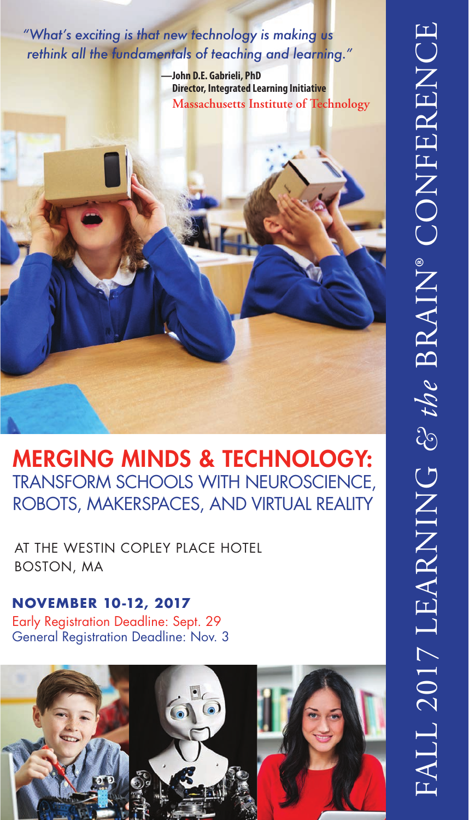*"What's exciting is that new technology is making us rethink all the fundamentals of teaching and learning."*

> **—John D.E. Gabrieli, PhD Director, Integrated Learning Initiative Massachusetts Institute of Technology**



MERGING MINDS & TECHNOLOGY: TRANSFORM SCHOOLS WITH NEUROSCIENCE, ROBOTS, MAKERSPACES, AND VIRTUAL REALITY

AT THE WESTIN COPLEY PLACE HOTEL BOSTON, MA

Early Registration Deadline: Sept. 29 General Registration Deadline: Nov. 3 **NOVEMBER 10-12, 2017**

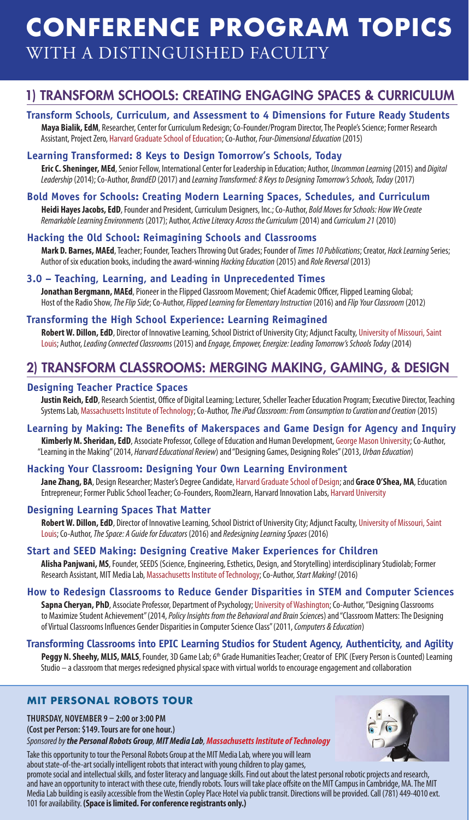# WITH A DISTINGUISHED FACULTY **CONFERENCE PROGRAM TOPICS**

# 1) TRANSFORM SCHOOLS: CREATING ENGAGING SPACES & CURRICULUM

#### **Transform Schools, Curriculum, and Assessment to 4 Dimensions for Future Ready Students**

**Maya Bialik, EdM**, Researcher, Center for Curriculum Redesign; Co-Founder/Program Director, The People's Science; Former Research Assistant, Project Zero, Harvard Graduate School of Education; Co-Author, *Four-Dimensional Education* (2015)

#### **Learning Transformed: 8 Keys to Design Tomorrow's Schools, Today**

**Eric C. Sheninger, MEd**, Senior Fellow, International Center for Leadership in Education; Author, *Uncommon Learning* (2015) and *Digital Leadership* (2014); Co-Author, *BrandED* (2017) and *Learning Transformed: 8 Keys to Designing Tomorrow's Schools, Today* (2017)

#### **Bold Moves for Schools: Creating Modern Learning Spaces, Schedules, and Curriculum**

**Heidi Hayes Jacobs, EdD**, Founder and President, Curriculum Designers, Inc.; Co-Author, *Bold Moves for Schools: How We Create Remarkable Learning Environments* (2017); Author, *Active Literacy Across the Curriculum* (2014) and *Curriculum 21* (2010)

#### **Hacking the Old School: Reimagining Schools and Classrooms**

**Mark D. Barnes, MAEd**, Teacher; Founder, Teachers Throwing Out Grades; Founder of *Times 10 Publications*; Creator, *Hack Learning* Series; Author of six education books, including the award-winning *Hacking Education* (2015) and *Role Reversal* (2013)

#### **3.0 – Teaching, Learning, and Leading in Unprecedented Times**

**Jonathan Bergmann, MAEd**, Pioneer in the Flipped Classroom Movement; Chief Academic Officer, Flipped Learning Global; Host of the Radio Show, *The Flip Side*; Co-Author, *Flipped Learning for Elementary Instruction* (2016) and *Flip Your Classroom* (2012)

#### **Transforming the High School Experience: Learning Reimagined**

**Robert W. Dillon, EdD**, Director of Innovative Learning, School District of University City; Adjunct Faculty, University of Missouri, Saint Louis; Author, *Leading Connected Classrooms* (2015) and *Engage, Empower, Energize: Leading Tomorrow's Schools Today* (2014)

# 2) TRANSFORM CLASSROOMS: MERGING MAKING, GAMING, & DESIGN

#### **Designing Teacher Practice Spaces**

**Justin Reich, EdD**, Research Scientist, Office of Digital Learning; Lecturer, Scheller Teacher Education Program; Executive Director, Teaching Systems Lab, Massachusetts Institute of Technology; Co-Author, *The iPad Classroom: From Consumption to Curation and Creation* (2015)

#### **Learning by Making: The Benefits of Makerspaces and Game Design for Agency and Inquiry**

**Kimberly M. Sheridan, EdD**, Associate Professor, College of Education and Human Development, George Mason University; Co-Author, "Learning in the Making" (2014, *Harvard Educational Review*) and "Designing Games, Designing Roles" (2013, *Urban Education*)

#### **Hacking Your Classroom: Designing Your Own Learning Environment**

**Jane Zhang, BA**, Design Researcher; Master's Degree Candidate, Harvard Graduate School of Design; and **Grace O'Shea, MA**, Education Entrepreneur; Former Public School Teacher; Co-Founders, Room2learn, Harvard Innovation Labs, Harvard University

#### **Designing Learning Spaces That Matter**

**Robert W. Dillon, EdD**, Director of Innovative Learning, School District of University City; Adjunct Faculty, University of Missouri, Saint Louis; Co-Author, *The Space: A Guide for Educators* (2016) and *Redesigning Learning Spaces* (2016)

#### **Start and SEED Making: Designing Creative Maker Experiences for Children**

**Alisha Panjwani, MS**, Founder, SEEDS (Science, Engineering, Esthetics, Design, and Storytelling) interdisciplinary Studiolab; Former Research Assistant, MIT Media Lab, Massachusetts Institute of Technology; Co-Author, *Start Making!* (2016)

#### **How to Redesign Classrooms to Reduce Gender Disparities in STEM and Computer Sciences**

**Sapna Cheryan, PhD**, Associate Professor, Department of Psychology; University of Washington; Co-Author, "Designing Classrooms to Maximize Student Achievement" (2014, *Policy Insights from the Behavioral and Brain Science*s) and "Classroom Matters: The Designing of Virtual Classrooms Influences Gender Disparities in Computer Science Class" (2011, *Computers & Education*)

#### **Transforming Classrooms into EPIC Learning Studios for Student Agency, Authenticity, and Agility**

Peggy N. Sheehy, MLIS, MALS, Founder, 3D Game Lab; 6<sup>th</sup> Grade Humanities Teacher; Creator of EPIC (Every Person is Counted) Learning Studio – a classroom that merges redesigned physical space with virtual worlds to encourage engagement and collaboration

#### **MIT PERSONAL ROBOTS TOUR**

**THURSDAY, NOVEMBER 9 – 2:00 or 3:00 PM (Cost per Person: \$149. Tours are for one hour.)** *Sponsored by the Personal Robots Group, MIT Media Lab, Massachusetts Institute of Technology*





promote social and intellectual skills, and foster literacy and language skills. Find out about the latest personal robotic projects and research, and have an opportunity to interact with these cute, friendly robots. Tours will take place offsite on the MIT Campus in Cambridge, MA. The MIT Media Lab building is easily accessible from the Westin Copley Place Hotel via public transit. Directions will be provided. Call (781) 449-4010 ext. 101 for availability. **(Space is limited. For conference registrants only.)**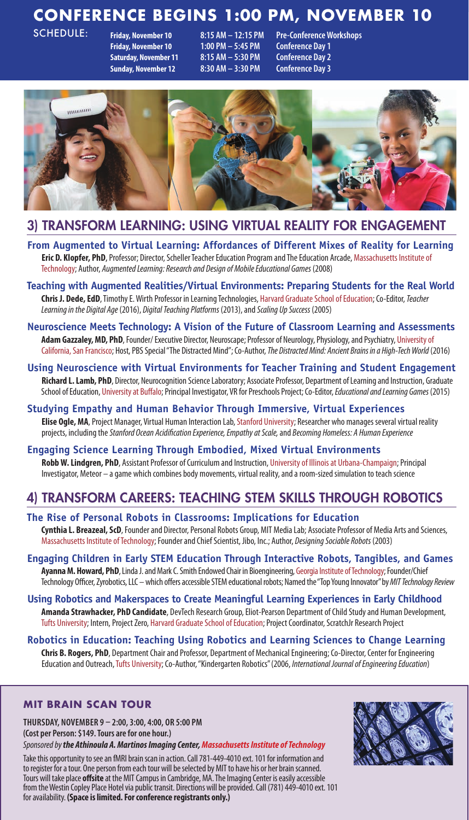# **CONFERENCE BEGINS 1:00 PM, NOVEMBER 10**

SCHEDULE:

**Friday, November 10 1:00 PM – 5:45 PM Conference Day 1 Saturday, November 11 8:15 AM – 5:30 PM Conference Day 2 Sunday, November 12 8:30 AM – 3:30 PM Conference Day 3**

**Friday, November 10 8:15 AM – 12:15 PM Pre-Conference Workshops**



## 3) TRANSFORM LEARNING: USING VIRTUAL REALITY FOR ENGAGEMENT

- **From Augmented to Virtual Learning: Affordances of Different Mixes of Reality for Learning Eric D. Klopfer, PhD**, Professor; Director, Scheller Teacher Education Program and The Education Arcade, Massachusetts Institute of Technology; Author, *Augmented Learning: Research and Design of Mobile Educational Games* (2008)
- **Teaching with Augmented Realities/Virtual Environments: Preparing Students for the Real World Chris J. Dede, EdD**, Timothy E. Wirth Professor in Learning Technologies, Harvard Graduate School of Education; Co-Editor, *Teacher Learning in the Digital Age* (2016), *Digital Teaching Platforms* (2013), and *Scaling Up Success* (2005)
- **Neuroscience Meets Technology: A Vision of the Future of Classroom Learning and Assessments Adam Gazzaley, MD, PhD**, Founder/ Executive Director, Neuroscape; Professor of Neurology, Physiology, and Psychiatry, University of California, San Francisco; Host, PBS Special "The Distracted Mind"; Co-Author, *The Distracted Mind: Ancient Brains in a High-Tech World* (2016)
- **Using Neuroscience with Virtual Environments for Teacher Training and Student Engagement**  Richard L. Lamb, PhD, Director, Neurocognition Science Laboratory; Associate Professor, Department of Learning and Instruction, Graduate School of Education, University at Buffalo; Principal Investigator, VR for Preschools Project; Co-Editor, *Educational and Learning Games* (2015)
- **Studying Empathy and Human Behavior Through Immersive, Virtual Experiences Elise Ogle, MA**, Project Manager, Virtual Human Interaction Lab, Stanford University; Researcher who manages several virtual reality projects, including the *Stanford Ocean Acidification Experience, Empathy at Scale,* and *Becoming Homeless: A Human Experience*

**Engaging Science Learning Through Embodied, Mixed Virtual Environments Robb W. Lindgren, PhD**, Assistant Professor of Curriculum and Instruction, University of Illinois at Urbana-Champaign; Principal Investigator, Meteor – a game which combines body movements, virtual reality, and a room-sized simulation to teach science

# 4) TRANSFORM CAREERS: TEACHING STEM SKILLS THROUGH ROBOTICS

#### **The Rise of Personal Robots in Classrooms: Implications for Education Cynthia L. Breazeal, ScD**, Founder and Director, Personal Robots Group, MIT Media Lab; Associate Professor of Media Arts and Sciences, Massachusetts Institute of Technology; Founder and Chief Scientist, Jibo, Inc.; Author, *Designing Sociable Robots* (2003)

- **Engaging Children in Early STEM Education Through Interactive Robots, Tangibles, and Games Ayanna M. Howard, PhD**, Linda J. and Mark C. Smith Endowed Chair in Bioengineering, Georgia Institute of Technology; Founder/Chief Technology Officer, Zyrobotics, LLC – which offers accessible STEM educational robots; Named the "Top Young Innovator" by *MIT Technology Review*
- **Using Robotics and Makerspaces to Create Meaningful Learning Experiences in Early Childhood Amanda Strawhacker, PhD Candidate**, DevTech Research Group, Eliot-Pearson Department of Child Study and Human Development, Tufts University; Intern, Project Zero, Harvard Graduate School of Education; Project Coordinator, ScratchJr Research Project
- **Robotics in Education: Teaching Using Robotics and Learning Sciences to Change Learning Chris B. Rogers, PhD**, Department Chair and Professor, Department of Mechanical Engineering; Co-Director, Center for Engineering Education and Outreach, Tufts University; Co-Author, "Kindergarten Robotics" (2006, *International Journal of Engineering Education*)

#### **MIT BRAIN SCAN TOUR**

**THURSDAY, NOVEMBER 9 – 2:00, 3:00, 4:00, OR 5:00 PM (Cost per Person: \$149. Tours are for one hour.)**

*Sponsored by the Athinoula A. Martinos Imaging Center, Massachusetts Institute of Technology*

Take this opportunity to see an fMRI brain scan in action. Call 781-449-4010 ext. 101 for information and to register for a tour. One person from each tour will be selected by MIT to have his or her brain scanned. Tours will take place **offsite** at the MIT Campus in Cambridge, MA. The Imaging Center is easily accessible from the Westin Copley Place Hotel via public transit. Directions will be provided. Call (781) 449-4010 ext. 101 for availability. **(Space is limited. For conference registrants only.)**

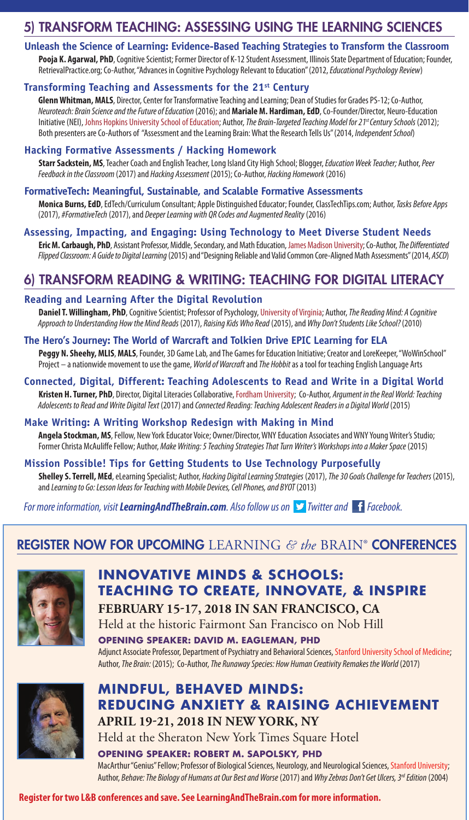# 5) TRANSFORM TEACHING: ASSESSING USING THE LEARNING SCIENCES

#### **Unleash the Science of Learning: Evidence-Based Teaching Strategies to Transform the Classroom**

Pooja K. Agarwal, PhD, Cognitive Scientist; Former Director of K-12 Student Assessment, Illinois State Department of Education; Founder, RetrievalPractice.org; Co-Author, "Advances in Cognitive Psychology Relevant to Education" (2012, *Educational Psychology Review*)

#### **Transforming Teaching and Assessments for the 21st Century**

**Glenn Whitman, MALS**, Director, Center for Transformative Teaching and Learning; Dean of Studies for Grades PS-12; Co-Author, *Neuroteach: Brain Science and the Future of Education* (2016); and **Mariale M. Hardiman, EdD**, Co-Founder/Director, Neuro-Education Initiative (NEI), Johns Hopkins University School of Education; Author, *The Brain-Targeted Teaching Model for 21st Century Schools* (2012); Both presenters are Co-Authors of "Assessment and the Learning Brain: What the Research Tells Us" (2014, *Independent School*)

#### **Hacking Formative Assessments / Hacking Homework**

**Starr Sackstein, MS**, Teacher Coach and English Teacher, Long Island City High School; Blogger, *Education Week Teacher;* Author, *Peer Feedback in the Classroom* (2017) and *Hacking Assessment* (2015); Co-Author, *Hacking Homework* (2016)

#### **FormativeTech: Meaningful, Sustainable, and Scalable Formative Assessments**

**Monica Burns, EdD**, EdTech/Curriculum Consultant; Apple Distinguished Educator; Founder, ClassTechTips.com; Author, *Tasks Before Apps* (2017), *#FormativeTech* (2017), and *Deeper Learning with QR Codes and Augmented Reality* (2016)

#### **Assessing, Impacting, and Engaging: Using Technology to Meet Diverse Student Needs**

**Eric M. Carbaugh, PhD**, Assistant Professor, Middle, Secondary, and Math Education, James Madison University; Co-Author, *The Differentiated Flipped Classroom: A Guide to Digital Learning* (2015) and "Designing Reliable and Valid Common Core-Aligned Math Assessments" (2014, *ASCD*)

# 6) TRANSFORM READING & WRITING: TEACHING FOR DIGITAL LITERACY

#### **Reading and Learning After the Digital Revolution**

**Daniel T. Willingham, PhD**, Cognitive Scientist; Professor of Psychology, University of Virginia; Author, *The Reading Mind: A Cognitive Approach to Understanding How the Mind Reads* (2017), *Raising Kids Who Read* (2015), and *Why Don't Students Like School?* (2010)

#### **The Hero's Journey: The World of Warcraft and Tolkien Drive EPIC Learning for ELA**

**Peggy N. Sheehy, MLIS**, **MALS**, Founder, 3D Game Lab, and The Games for Education Initiative; Creator and LoreKeeper, "WoWinSchool" Project – a nationwide movement to use the game, *World of Warcraft* and *The Hobbit* as a tool for teaching English Language Arts

## **Connected, Digital, Different: Teaching Adolescents to Read and Write in a Digital World**

**Kristen H. Turner, PhD**, Director, Digital Literacies Collaborative, Fordham University; Co-Author, *Argument in the Real World: Teaching Adolescents to Read and Write Digital Text* (2017) and *Connected Reading: Teaching Adolescent Readers in a Digital World* (2015)

#### **Make Writing: A Writing Workshop Redesign with Making in Mind**

**Angela Stockman, MS**, Fellow, New York Educator Voice; Owner/Director, WNY Education Associates and WNY Young Writer's Studio; Former Christa McAuliffe Fellow; Author, *Make Writing: 5 Teaching Strategies That Turn Writer's Workshops into a Maker Space* (2015)

#### **Mission Possible! Tips for Getting Students to Use Technology Purposefully Shelley S. Terrell, MEd**, eLearning Specialist; Author, *Hacking Digital Learning Strategies* (2017), *The 30 Goals Challenge for Teachers* (2015),

and *Learning to Go: Lesson Ideas for Teaching with Mobile Devices, Cell Phones, and BYOT* (2013)

*For more information, visit LearningAndTheBrain.com. Also follow us on*  $\triangleright$  *Twitter and* **f** *Facebook.* 

# REGISTER NOW FOR UPCOMING LEARNING *& the* BRAIN® CONFERENCES



# **INNOVATIVE MINDS & SCHOOLS: TEACHING TO CREATE, INNOVATE, & INSPIRE**

**FEBRUARY 15-17, 2018 IN SAN FRANCISCO, CA** Held at the historic Fairmont San Francisco on Nob Hill **OPENING SPEAKER: DAVID M. EAGLEMAN, PHD**

Adjunct Associate Professor, Department of Psychiatry and Behavioral Sciences, Stanford University School of Medicine; Author, *The Brain:* (2015); Co-Author, *The Runaway Species: How Human Creativity Remakes the World* (2017)



# **MINDFUL, BEHAVED MINDS: REDUCING ANXIETY & RAISING ACHIEVEMENT APRIL 19-21, 2018 IN NEW YORK, NY** Held at the Sheraton New York Times Square Hotel

**OPENING SPEAKER: ROBERT M. SAPOLSKY, PHD** MacArthur "Genius" Fellow; Professor of Biological Sciences, Neurology, and Neurological Sciences, Stanford University; Author, *Behave: The Biology of Humans at Our Best and Worse* (2017) and *Why Zebras Don't Get Ulcers, 3rd Edition* (2004)

#### **Register for two L&B conferences and save. See LearningAndTheBrain.com for more information.**